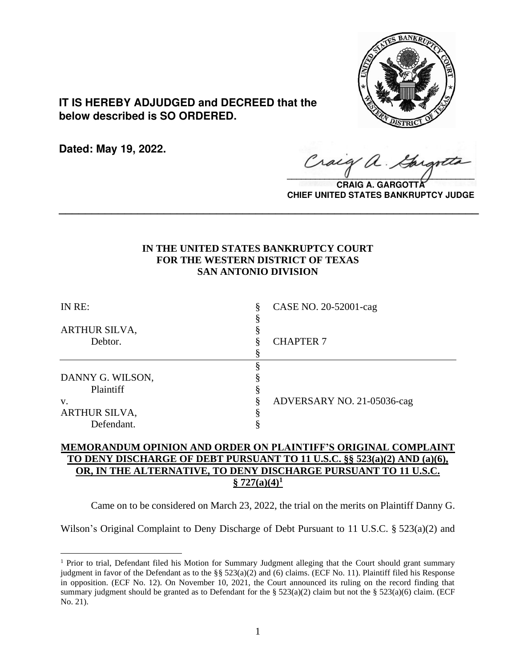

**IT IS HEREBY ADJUDGED and DECREED that the below described is SO ORDERED.**

**Dated: May 19, 2022.**

 $\sqrt{2}$ 

**CRAIG A. GARGO CHIEF UNITED STATES BANKRUPTCY JUDGE**

# **IN THE UNITED STATES BANKRUPTCY COURT FOR THE WESTERN DISTRICT OF TEXAS SAN ANTONIO DIVISION**

**\_\_\_\_\_\_\_\_\_\_\_\_\_\_\_\_\_\_\_\_\_\_\_\_\_\_\_\_\_\_\_\_\_\_\_\_\_\_\_\_\_\_\_\_\_\_\_\_\_\_\_\_\_\_\_\_\_\_\_\_\_\_\_\_**

| IN RE:                          | CASE NO. 20-52001-cag<br>§ |  |
|---------------------------------|----------------------------|--|
| <b>ARTHUR SILVA,</b><br>Debtor. | <b>CHAPTER 7</b>           |  |
|                                 |                            |  |
|                                 |                            |  |
| DANNY G. WILSON,                |                            |  |
| Plaintiff                       |                            |  |
| V.                              | ADVERSARY NO. 21-05036-cag |  |
| ARTHUR SILVA,                   |                            |  |
| Defendant.                      |                            |  |

# **MEMORANDUM OPINION AND ORDER ON PLAINTIFF'S ORIGINAL COMPLAINT TO DENY DISCHARGE OF DEBT PURSUANT TO 11 U.S.C. §§ 523(a)(2) AND (a)(6), OR, IN THE ALTERNATIVE, TO DENY DISCHARGE PURSUANT TO 11 U.S.C.**   $\S$  727(a)(4)<sup>1</sup>

Came on to be considered on March 23, 2022, the trial on the merits on Plaintiff Danny G.

Wilson's Original Complaint to Deny Discharge of Debt Pursuant to 11 U.S.C. § 523(a)(2) and

<sup>&</sup>lt;sup>1</sup> Prior to trial, Defendant filed his Motion for Summary Judgment alleging that the Court should grant summary judgment in favor of the Defendant as to the §§  $523(a)(2)$  and (6) claims. (ECF No. 11). Plaintiff filed his Response in opposition. (ECF No. 12). On November 10, 2021, the Court announced its ruling on the record finding that summary judgment should be granted as to Defendant for the §  $523(a)(2)$  claim but not the §  $523(a)(6)$  claim. (ECF No. 21).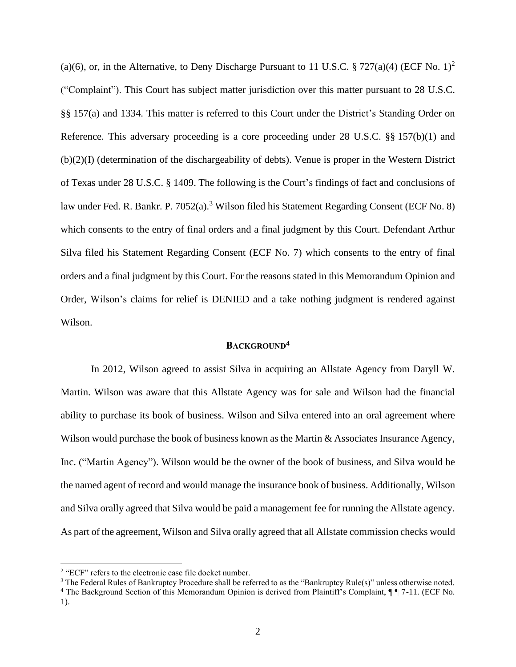(a)(6), or, in the Alternative, to Deny Discharge Pursuant to 11 U.S.C. § 727(a)(4) (ECF No. 1)<sup>2</sup> ("Complaint"). This Court has subject matter jurisdiction over this matter pursuant to 28 U.S.C. §§ 157(a) and 1334. This matter is referred to this Court under the District's Standing Order on Reference. This adversary proceeding is a core proceeding under 28 U.S.C. §§ 157(b)(1) and (b)(2)(I) (determination of the dischargeability of debts). Venue is proper in the Western District of Texas under 28 U.S.C. § 1409. The following is the Court's findings of fact and conclusions of law under Fed. R. Bankr. P. 7052(a).<sup>3</sup> Wilson filed his Statement Regarding Consent (ECF No. 8) which consents to the entry of final orders and a final judgment by this Court. Defendant Arthur Silva filed his Statement Regarding Consent (ECF No. 7) which consents to the entry of final orders and a final judgment by this Court. For the reasons stated in this Memorandum Opinion and Order, Wilson's claims for relief is DENIED and a take nothing judgment is rendered against Wilson.

# **BACKGROUND<sup>4</sup>**

In 2012, Wilson agreed to assist Silva in acquiring an Allstate Agency from Daryll W. Martin. Wilson was aware that this Allstate Agency was for sale and Wilson had the financial ability to purchase its book of business. Wilson and Silva entered into an oral agreement where Wilson would purchase the book of business known as the Martin & Associates Insurance Agency, Inc. ("Martin Agency"). Wilson would be the owner of the book of business, and Silva would be the named agent of record and would manage the insurance book of business. Additionally, Wilson and Silva orally agreed that Silva would be paid a management fee for running the Allstate agency. As part of the agreement, Wilson and Silva orally agreed that all Allstate commission checks would

<sup>&</sup>lt;sup>2</sup> "ECF" refers to the electronic case file docket number.

<sup>&</sup>lt;sup>3</sup> The Federal Rules of Bankruptcy Procedure shall be referred to as the "Bankruptcy Rule(s)" unless otherwise noted.

<sup>&</sup>lt;sup>4</sup> The Background Section of this Memorandum Opinion is derived from Plaintiff's Complaint, ¶  $\sqrt{7}$  -11. (ECF No. 1).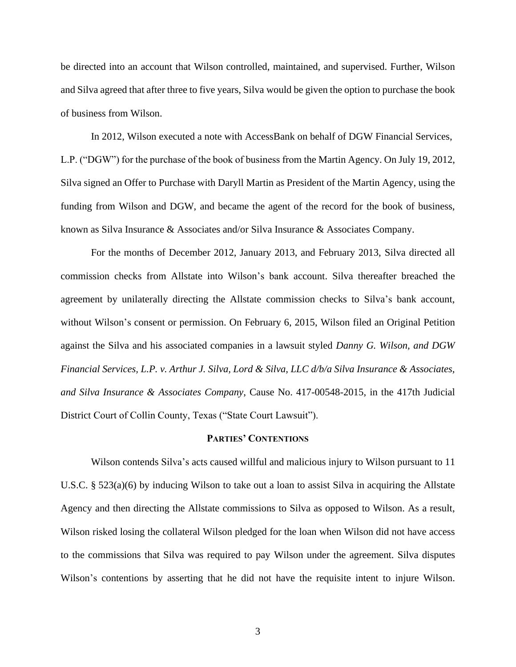be directed into an account that Wilson controlled, maintained, and supervised. Further, Wilson and Silva agreed that after three to five years, Silva would be given the option to purchase the book of business from Wilson.

In 2012, Wilson executed a note with AccessBank on behalf of DGW Financial Services, L.P. ("DGW") for the purchase of the book of business from the Martin Agency. On July 19, 2012, Silva signed an Offer to Purchase with Daryll Martin as President of the Martin Agency, using the funding from Wilson and DGW, and became the agent of the record for the book of business, known as Silva Insurance & Associates and/or Silva Insurance & Associates Company.

For the months of December 2012, January 2013, and February 2013, Silva directed all commission checks from Allstate into Wilson's bank account. Silva thereafter breached the agreement by unilaterally directing the Allstate commission checks to Silva's bank account, without Wilson's consent or permission. On February 6, 2015, Wilson filed an Original Petition against the Silva and his associated companies in a lawsuit styled *Danny G. Wilson, and DGW Financial Services, L.P. v. Arthur J. Silva, Lord & Silva, LLC d/b/a Silva Insurance & Associates, and Silva Insurance & Associates Company*, Cause No. 417-00548-2015, in the 417th Judicial District Court of Collin County, Texas ("State Court Lawsuit").

## **PARTIES' CONTENTIONS**

Wilson contends Silva's acts caused willful and malicious injury to Wilson pursuant to 11 U.S.C. § 523(a)(6) by inducing Wilson to take out a loan to assist Silva in acquiring the Allstate Agency and then directing the Allstate commissions to Silva as opposed to Wilson. As a result, Wilson risked losing the collateral Wilson pledged for the loan when Wilson did not have access to the commissions that Silva was required to pay Wilson under the agreement. Silva disputes Wilson's contentions by asserting that he did not have the requisite intent to injure Wilson.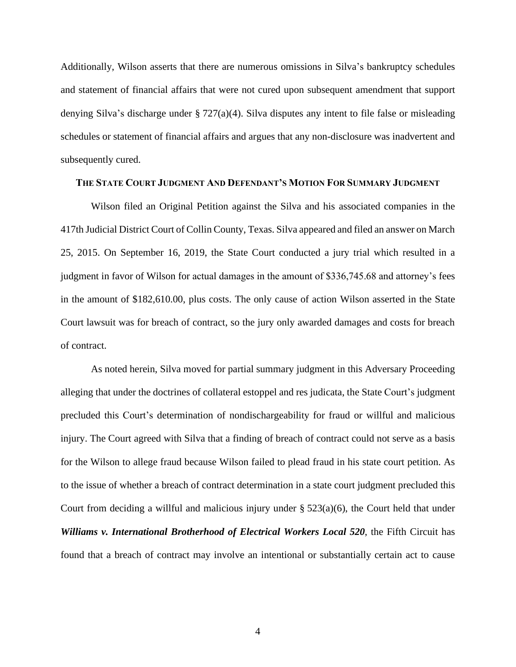Additionally, Wilson asserts that there are numerous omissions in Silva's bankruptcy schedules and statement of financial affairs that were not cured upon subsequent amendment that support denying Silva's discharge under § 727(a)(4). Silva disputes any intent to file false or misleading schedules or statement of financial affairs and argues that any non-disclosure was inadvertent and subsequently cured.

## **THE STATE COURT JUDGMENT AND DEFENDANT'S MOTION FOR SUMMARY JUDGMENT**

Wilson filed an Original Petition against the Silva and his associated companies in the 417th Judicial District Court of Collin County, Texas. Silva appeared and filed an answer on March 25, 2015. On September 16, 2019, the State Court conducted a jury trial which resulted in a judgment in favor of Wilson for actual damages in the amount of \$336,745.68 and attorney's fees in the amount of \$182,610.00, plus costs. The only cause of action Wilson asserted in the State Court lawsuit was for breach of contract, so the jury only awarded damages and costs for breach of contract.

As noted herein, Silva moved for partial summary judgment in this Adversary Proceeding alleging that under the doctrines of collateral estoppel and res judicata, the State Court's judgment precluded this Court's determination of nondischargeability for fraud or willful and malicious injury. The Court agreed with Silva that a finding of breach of contract could not serve as a basis for the Wilson to allege fraud because Wilson failed to plead fraud in his state court petition. As to the issue of whether a breach of contract determination in a state court judgment precluded this Court from deciding a willful and malicious injury under  $\S 523(a)(6)$ , the Court held that under *Williams v. International Brotherhood of Electrical Workers Local 520*, the Fifth Circuit has found that a breach of contract may involve an intentional or substantially certain act to cause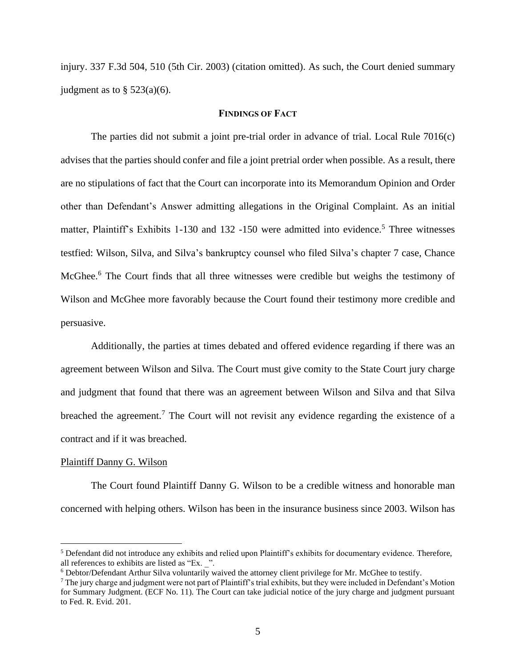injury. 337 F.3d 504, 510 (5th Cir. 2003) (citation omitted). As such, the Court denied summary judgment as to  $\S$  523(a)(6).

## **FINDINGS OF FACT**

The parties did not submit a joint pre-trial order in advance of trial. Local Rule 7016(c) advises that the parties should confer and file a joint pretrial order when possible. As a result, there are no stipulations of fact that the Court can incorporate into its Memorandum Opinion and Order other than Defendant's Answer admitting allegations in the Original Complaint. As an initial matter, Plaintiff's Exhibits 1-130 and 132-150 were admitted into evidence.<sup>5</sup> Three witnesses testfied: Wilson, Silva, and Silva's bankruptcy counsel who filed Silva's chapter 7 case, Chance McGhee.<sup>6</sup> The Court finds that all three witnesses were credible but weighs the testimony of Wilson and McGhee more favorably because the Court found their testimony more credible and persuasive.

Additionally, the parties at times debated and offered evidence regarding if there was an agreement between Wilson and Silva. The Court must give comity to the State Court jury charge and judgment that found that there was an agreement between Wilson and Silva and that Silva breached the agreement.<sup>7</sup> The Court will not revisit any evidence regarding the existence of a contract and if it was breached.

### Plaintiff Danny G. Wilson

The Court found Plaintiff Danny G. Wilson to be a credible witness and honorable man concerned with helping others. Wilson has been in the insurance business since 2003. Wilson has

<sup>5</sup> Defendant did not introduce any exhibits and relied upon Plaintiff's exhibits for documentary evidence. Therefore, all references to exhibits are listed as "Ex. \_".

 $6$  Debtor/Defendant Arthur Silva voluntarily waived the attorney client privilege for Mr. McGhee to testify.

<sup>&</sup>lt;sup>7</sup> The jury charge and judgment were not part of Plaintiff's trial exhibits, but they were included in Defendant's Motion for Summary Judgment. (ECF No. 11). The Court can take judicial notice of the jury charge and judgment pursuant to Fed. R. Evid. 201.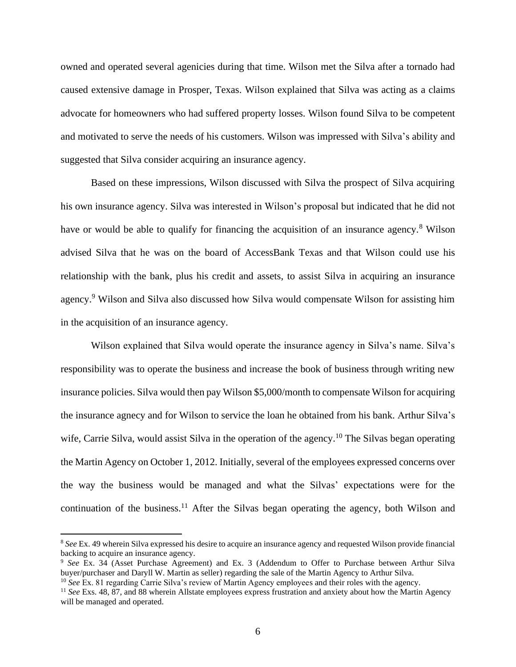owned and operated several agenicies during that time. Wilson met the Silva after a tornado had caused extensive damage in Prosper, Texas. Wilson explained that Silva was acting as a claims advocate for homeowners who had suffered property losses. Wilson found Silva to be competent and motivated to serve the needs of his customers. Wilson was impressed with Silva's ability and suggested that Silva consider acquiring an insurance agency.

Based on these impressions, Wilson discussed with Silva the prospect of Silva acquiring his own insurance agency. Silva was interested in Wilson's proposal but indicated that he did not have or would be able to qualify for financing the acquisition of an insurance agency.<sup>8</sup> Wilson advised Silva that he was on the board of AccessBank Texas and that Wilson could use his relationship with the bank, plus his credit and assets, to assist Silva in acquiring an insurance agency.<sup>9</sup> Wilson and Silva also discussed how Silva would compensate Wilson for assisting him in the acquisition of an insurance agency.

Wilson explained that Silva would operate the insurance agency in Silva's name. Silva's responsibility was to operate the business and increase the book of business through writing new insurance policies. Silva would then pay Wilson \$5,000/month to compensate Wilson for acquiring the insurance agnecy and for Wilson to service the loan he obtained from his bank. Arthur Silva's wife, Carrie Silva, would assist Silva in the operation of the agency.<sup>10</sup> The Silvas began operating the Martin Agency on October 1, 2012. Initially, several of the employees expressed concerns over the way the business would be managed and what the Silvas' expectations were for the continuation of the business.<sup>11</sup> After the Silvas began operating the agency, both Wilson and

<sup>8</sup> *See* Ex. 49 wherein Silva expressed his desire to acquire an insurance agency and requested Wilson provide financial backing to acquire an insurance agency.

<sup>9</sup> *See* Ex. 34 (Asset Purchase Agreement) and Ex. 3 (Addendum to Offer to Purchase between Arthur Silva buyer/purchaser and Daryll W. Martin as seller) regarding the sale of the Martin Agency to Arthur Silva.

<sup>10</sup> *See* Ex. 81 regarding Carrie Silva's review of Martin Agency employees and their roles with the agency.

<sup>&</sup>lt;sup>11</sup> See Exs. 48, 87, and 88 wherein Allstate employees express frustration and anxiety about how the Martin Agency will be managed and operated.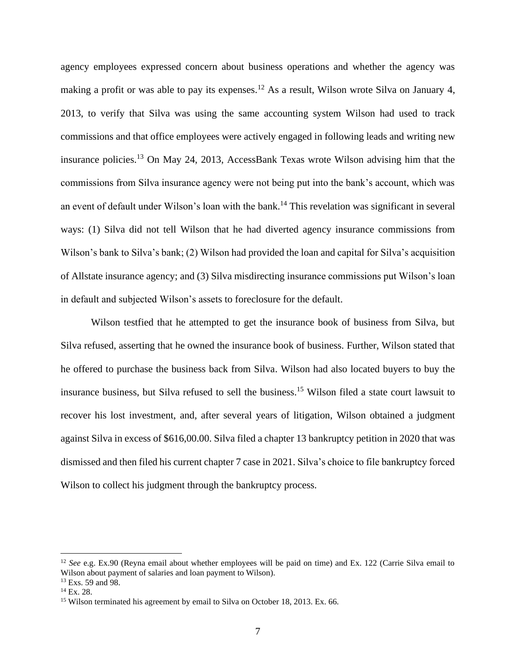agency employees expressed concern about business operations and whether the agency was making a profit or was able to pay its expenses.<sup>12</sup> As a result, Wilson wrote Silva on January 4, 2013, to verify that Silva was using the same accounting system Wilson had used to track commissions and that office employees were actively engaged in following leads and writing new insurance policies.<sup>13</sup> On May 24, 2013, AccessBank Texas wrote Wilson advising him that the commissions from Silva insurance agency were not being put into the bank's account, which was an event of default under Wilson's loan with the bank.<sup>14</sup> This revelation was significant in several ways: (1) Silva did not tell Wilson that he had diverted agency insurance commissions from Wilson's bank to Silva's bank; (2) Wilson had provided the loan and capital for Silva's acquisition of Allstate insurance agency; and (3) Silva misdirecting insurance commissions put Wilson's loan in default and subjected Wilson's assets to foreclosure for the default.

Wilson testfied that he attempted to get the insurance book of business from Silva, but Silva refused, asserting that he owned the insurance book of business. Further, Wilson stated that he offered to purchase the business back from Silva. Wilson had also located buyers to buy the insurance business, but Silva refused to sell the business. <sup>15</sup> Wilson filed a state court lawsuit to recover his lost investment, and, after several years of litigation, Wilson obtained a judgment against Silva in excess of \$616,00.00. Silva filed a chapter 13 bankruptcy petition in 2020 that was dismissed and then filed his current chapter 7 case in 2021. Silva's choice to file bankruptcy forced Wilson to collect his judgment through the bankruptcy process.

<sup>&</sup>lt;sup>12</sup> *See* e.g. Ex.90 (Reyna email about whether employees will be paid on time) and Ex. 122 (Carrie Silva email to Wilson about payment of salaries and loan payment to Wilson).

<sup>&</sup>lt;sup>13</sup> Exs. 59 and 98.

 $^{14}$  Ex. 28.

<sup>&</sup>lt;sup>15</sup> Wilson terminated his agreement by email to Silva on October 18, 2013. Ex. 66.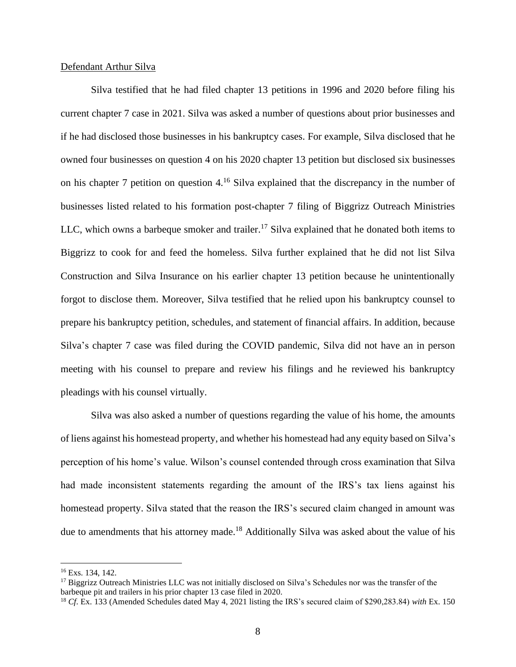## Defendant Arthur Silva

Silva testified that he had filed chapter 13 petitions in 1996 and 2020 before filing his current chapter 7 case in 2021. Silva was asked a number of questions about prior businesses and if he had disclosed those businesses in his bankruptcy cases. For example, Silva disclosed that he owned four businesses on question 4 on his 2020 chapter 13 petition but disclosed six businesses on his chapter 7 petition on question 4.<sup>16</sup> Silva explained that the discrepancy in the number of businesses listed related to his formation post-chapter 7 filing of Biggrizz Outreach Ministries LLC, which owns a barbeque smoker and trailer.<sup>17</sup> Silva explained that he donated both items to Biggrizz to cook for and feed the homeless. Silva further explained that he did not list Silva Construction and Silva Insurance on his earlier chapter 13 petition because he unintentionally forgot to disclose them. Moreover, Silva testified that he relied upon his bankruptcy counsel to prepare his bankruptcy petition, schedules, and statement of financial affairs. In addition, because Silva's chapter 7 case was filed during the COVID pandemic, Silva did not have an in person meeting with his counsel to prepare and review his filings and he reviewed his bankruptcy pleadings with his counsel virtually.

Silva was also asked a number of questions regarding the value of his home, the amounts of liens against his homestead property, and whether his homestead had any equity based on Silva's perception of his home's value. Wilson's counsel contended through cross examination that Silva had made inconsistent statements regarding the amount of the IRS's tax liens against his homestead property. Silva stated that the reason the IRS's secured claim changed in amount was due to amendments that his attorney made.<sup>18</sup> Additionally Silva was asked about the value of his

<sup>16</sup> Exs. 134, 142.

<sup>&</sup>lt;sup>17</sup> Biggrizz Outreach Ministries LLC was not initially disclosed on Silva's Schedules nor was the transfer of the barbeque pit and trailers in his prior chapter 13 case filed in 2020.

<sup>18</sup> *Cf*. Ex. 133 (Amended Schedules dated May 4, 2021 listing the IRS's secured claim of \$290,283.84) *with* Ex. 150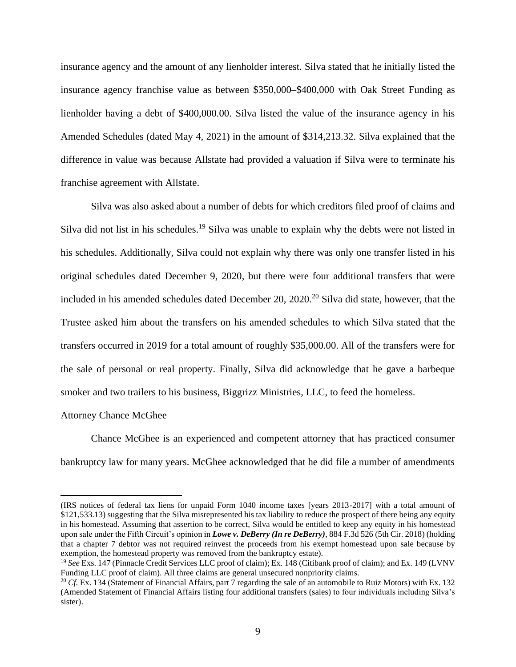insurance agency and the amount of any lienholder interest. Silva stated that he initially listed the insurance agency franchise value as between \$350,000–\$400,000 with Oak Street Funding as lienholder having a debt of \$400,000.00. Silva listed the value of the insurance agency in his Amended Schedules (dated May 4, 2021) in the amount of \$314,213.32. Silva explained that the difference in value was because Allstate had provided a valuation if Silva were to terminate his franchise agreement with Allstate.

Silva was also asked about a number of debts for which creditors filed proof of claims and Silva did not list in his schedules.<sup>19</sup> Silva was unable to explain why the debts were not listed in his schedules. Additionally, Silva could not explain why there was only one transfer listed in his original schedules dated December 9, 2020, but there were four additional transfers that were included in his amended schedules dated December 20,  $2020$ .<sup>20</sup> Silva did state, however, that the Trustee asked him about the transfers on his amended schedules to which Silva stated that the transfers occurred in 2019 for a total amount of roughly \$35,000.00. All of the transfers were for the sale of personal or real property. Finally, Silva did acknowledge that he gave a barbeque smoker and two trailers to his business, Biggrizz Ministries, LLC, to feed the homeless.

### Attorney Chance McGhee

Chance McGhee is an experienced and competent attorney that has practiced consumer bankruptcy law for many years. McGhee acknowledged that he did file a number of amendments

<sup>(</sup>IRS notices of federal tax liens for unpaid Form 1040 income taxes [years 2013-2017] with a total amount of \$121,533.13) suggesting that the Silva misrepresented his tax liability to reduce the prospect of there being any equity in his homestead. Assuming that assertion to be correct, Silva would be entitled to keep any equity in his homestead upon sale under the Fifth Circuit's opinion in *Lowe v. DeBerry (In re DeBerry)*, 884 F.3d 526 (5th Cir. 2018) (holding that a chapter 7 debtor was not required reinvest the proceeds from his exempt homestead upon sale because by exemption, the homestead property was removed from the bankruptcy estate).

<sup>19</sup> *See* Exs. 147 (Pinnacle Credit Services LLC proof of claim); Ex. 148 (Citibank proof of claim); and Ex. 149 (LVNV Funding LLC proof of claim). All three claims are general unsecured nonpriority claims.

<sup>20</sup> *Cf*. Ex. 134 (Statement of Financial Affairs, part 7 regarding the sale of an automobile to Ruiz Motors) with Ex. 132 (Amended Statement of Financial Affairs listing four additional transfers (sales) to four individuals including Silva's sister).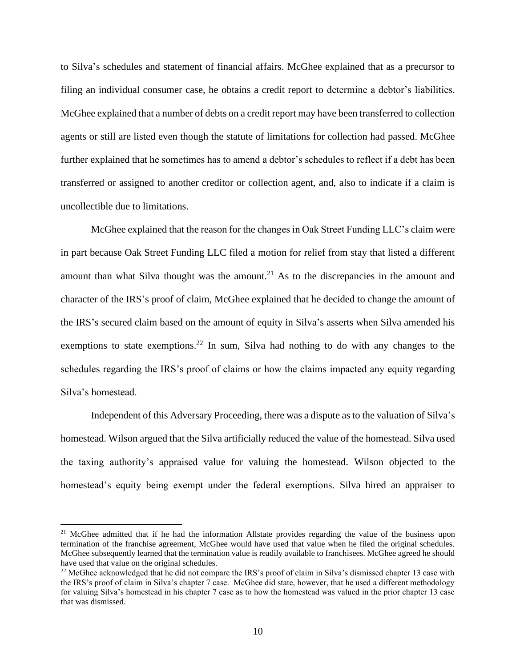to Silva's schedules and statement of financial affairs. McGhee explained that as a precursor to filing an individual consumer case, he obtains a credit report to determine a debtor's liabilities. McGhee explained that a number of debts on a credit report may have been transferred to collection agents or still are listed even though the statute of limitations for collection had passed. McGhee further explained that he sometimes has to amend a debtor's schedules to reflect if a debt has been transferred or assigned to another creditor or collection agent, and, also to indicate if a claim is uncollectible due to limitations.

McGhee explained that the reason for the changes in Oak Street Funding LLC's claim were in part because Oak Street Funding LLC filed a motion for relief from stay that listed a different amount than what Silva thought was the amount.<sup>21</sup> As to the discrepancies in the amount and character of the IRS's proof of claim, McGhee explained that he decided to change the amount of the IRS's secured claim based on the amount of equity in Silva's asserts when Silva amended his exemptions to state exemptions.<sup>22</sup> In sum, Silva had nothing to do with any changes to the schedules regarding the IRS's proof of claims or how the claims impacted any equity regarding Silva's homestead.

Independent of this Adversary Proceeding, there was a dispute as to the valuation of Silva's homestead. Wilson argued that the Silva artificially reduced the value of the homestead. Silva used the taxing authority's appraised value for valuing the homestead. Wilson objected to the homestead's equity being exempt under the federal exemptions. Silva hired an appraiser to

<sup>&</sup>lt;sup>21</sup> McGhee admitted that if he had the information Allstate provides regarding the value of the business upon termination of the franchise agreement, McGhee would have used that value when he filed the original schedules. McGhee subsequently learned that the termination value is readily available to franchisees. McGhee agreed he should have used that value on the original schedules.

 $22$  McGhee acknowledged that he did not compare the IRS's proof of claim in Silva's dismissed chapter 13 case with the IRS's proof of claim in Silva's chapter 7 case. McGhee did state, however, that he used a different methodology for valuing Silva's homestead in his chapter 7 case as to how the homestead was valued in the prior chapter 13 case that was dismissed.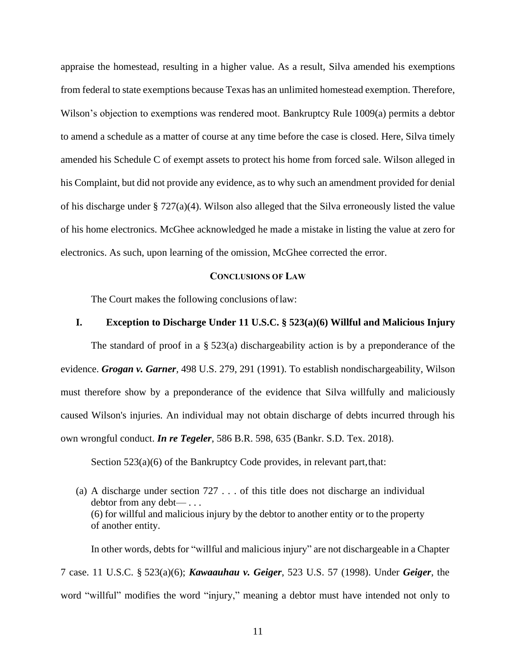appraise the homestead, resulting in a higher value. As a result, Silva amended his exemptions from federal to state exemptions because Texas has an unlimited homestead exemption. Therefore, Wilson's objection to exemptions was rendered moot. Bankruptcy Rule 1009(a) permits a debtor to amend a schedule as a matter of course at any time before the case is closed. Here, Silva timely amended his Schedule C of exempt assets to protect his home from forced sale. Wilson alleged in his Complaint, but did not provide any evidence, as to why such an amendment provided for denial of his discharge under § 727(a)(4). Wilson also alleged that the Silva erroneously listed the value of his home electronics. McGhee acknowledged he made a mistake in listing the value at zero for electronics. As such, upon learning of the omission, McGhee corrected the error.

#### **CONCLUSIONS OF LAW**

The Court makes the following conclusions oflaw:

## **I. Exception to Discharge Under 11 U.S.C. § 523(a)(6) Willful and Malicious Injury**

The standard of proof in a  $\S$  523(a) dischargeability action is by a preponderance of the evidence. *Grogan v. Garner,* [498 U.S. 279, 291 \(1991\).](https://1.next.westlaw.com/Link/Document/FullText?findType=Y&serNum=1991022020&pubNum=0000780&originatingDoc=I6de1e929a19f11e2a555d241dae65084&refType=RP&fi=co_pp_sp_780_291&originationContext=document&transitionType=DocumentItem&ppcid=c53a8d7aa45042cd83f0c78aee253bab&contextData=(sc.Search)#co_pp_sp_780_291) To establish nondischargeability, Wilson must therefore show by a preponderance of the evidence that Silva willfully and maliciously caused Wilson's injuries. An individual may not obtain discharge of debts incurred through his own wrongful conduct. *In re Tegeler*, 586 B.R. 598, 635 (Bankr. S.D. Tex. 2018).

Section  $523(a)(6)$  of the Bankruptcy Code provides, in relevant part, that:

(a) A discharge under section 727 . . . of this title does not discharge an individual debtor from any debt— . . . (6) for willful and malicious injury by the debtor to another entity or to the property of another entity.

In other words, debts for "willful and malicious injury" are not dischargeable in a Chapter 7 case. 11 U.S.C. § 523(a)(6); *Kawaauhau v. Geiger*, 523 U.S. 57 (1998). Under *Geiger*, the word "willful" modifies the word "injury," meaning a debtor must have intended not only to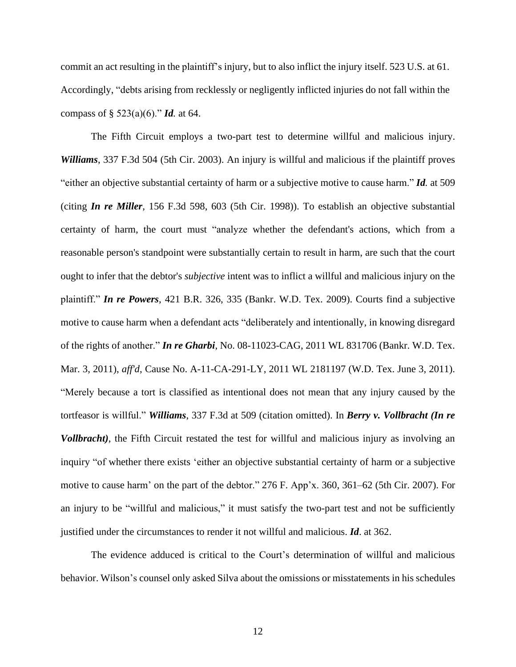commit an act resulting in the plaintiff's injury, but to also inflict the injury itself. 523 U.S. at 61. Accordingly, "debts arising from recklessly or negligently inflicted injuries do not fall within the compass of § 523(a)(6)." *Id.* at 64.

The Fifth Circuit employs a two-part test to determine willful and malicious injury. *Williams*, 337 F.3d 504 (5th Cir. 2003). An injury is willful and malicious if the plaintiff proves "either an objective substantial certainty of harm or a subjective motive to cause harm." *Id.* at 509 (citing *In re Miller*, 156 F.3d 598, 603 (5th Cir. 1998)). To establish an objective substantial certainty of harm, the court must "analyze whether the defendant's actions, which from a reasonable person's standpoint were substantially certain to result in harm, are such that the court ought to infer that the debtor's *subjective* intent was to inflict a willful and malicious injury on the plaintiff." *In re Powers*, 421 B.R. 326, 335 (Bankr. W.D. Tex. 2009). Courts find a subjective motive to cause harm when a defendant acts "deliberately and intentionally, in knowing disregard of the rights of another." *In re Gharbi*, No. 08-11023-CAG, 2011 WL 831706 (Bankr. W.D. Tex. Mar. 3, 2011), *aff'd*, Cause No. A-11-CA-291-LY, 2011 WL 2181197 (W.D. Tex. June 3, 2011). "Merely because a tort is classified as intentional does not mean that any injury caused by the tortfeasor is willful." *Williams*, 337 F.3d at 509 (citation omitted). In *Berry v. Vollbracht (In re Vollbracht)*, the Fifth Circuit restated the test for willful and malicious injury as involving an inquiry "of whether there exists 'either an objective substantial certainty of harm or a subjective motive to cause harm' on the part of the debtor." 276 F. App'x. 360, 361–62 (5th Cir. 2007). For an injury to be "willful and malicious," it must satisfy the two-part test and not be sufficiently justified under the circumstances to render it not willful and malicious. *Id*. at 362.

The evidence adduced is critical to the Court's determination of willful and malicious behavior. Wilson's counsel only asked Silva about the omissions or misstatements in his schedules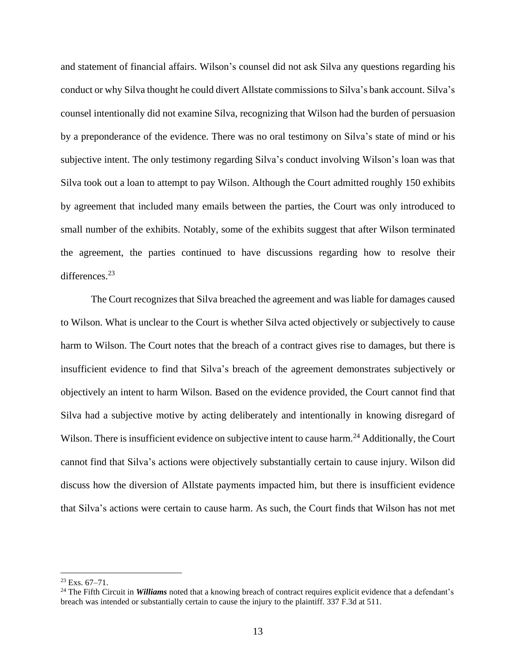and statement of financial affairs. Wilson's counsel did not ask Silva any questions regarding his conduct or why Silva thought he could divert Allstate commissions to Silva's bank account. Silva's counsel intentionally did not examine Silva, recognizing that Wilson had the burden of persuasion by a preponderance of the evidence. There was no oral testimony on Silva's state of mind or his subjective intent. The only testimony regarding Silva's conduct involving Wilson's loan was that Silva took out a loan to attempt to pay Wilson. Although the Court admitted roughly 150 exhibits by agreement that included many emails between the parties, the Court was only introduced to small number of the exhibits. Notably, some of the exhibits suggest that after Wilson terminated the agreement, the parties continued to have discussions regarding how to resolve their differences.<sup>23</sup>

The Court recognizes that Silva breached the agreement and was liable for damages caused to Wilson. What is unclear to the Court is whether Silva acted objectively or subjectively to cause harm to Wilson. The Court notes that the breach of a contract gives rise to damages, but there is insufficient evidence to find that Silva's breach of the agreement demonstrates subjectively or objectively an intent to harm Wilson. Based on the evidence provided, the Court cannot find that Silva had a subjective motive by acting deliberately and intentionally in knowing disregard of Wilson. There is insufficient evidence on subjective intent to cause harm.<sup>24</sup> Additionally, the Court cannot find that Silva's actions were objectively substantially certain to cause injury. Wilson did discuss how the diversion of Allstate payments impacted him, but there is insufficient evidence that Silva's actions were certain to cause harm. As such, the Court finds that Wilson has not met

 $23$  Exs. 67-71.

<sup>&</sup>lt;sup>24</sup> The Fifth Circuit in *Williams* noted that a knowing breach of contract requires explicit evidence that a defendant's breach was intended or substantially certain to cause the injury to the plaintiff. 337 F.3d at 511.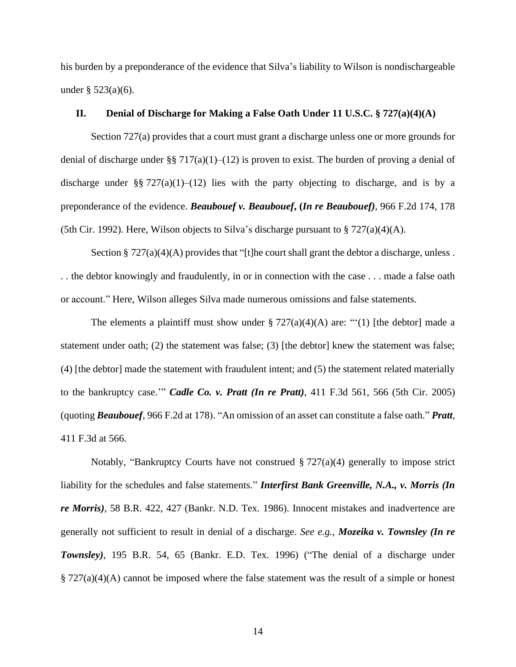his burden by a preponderance of the evidence that Silva's liability to Wilson is nondischargeable under  $\S 523(a)(6)$ .

## **II. Denial of Discharge for Making a False Oath Under 11 U.S.C. § 727(a)(4)(A)**

Section 727(a) provides that a court must grant a discharge unless one or more grounds for denial of discharge under §§ 717(a)(1)–(12) is proven to exist. The burden of proving a denial of discharge under §§ 727(a)(1)–(12) lies with the party objecting to discharge, and is by a preponderance of the evidence. *Beaubouef v. Beaubouef***, (***In re Beaubouef)*, 966 F.2d 174, 178 (5th Cir. 1992). Here, Wilson objects to Silva's discharge pursuant to  $\S 727(a)(4)(A)$ .

Section  $\S 727(a)(4)(A)$  provides that "[t]he court shall grant the debtor a discharge, unless. . . the debtor knowingly and fraudulently, in or in connection with the case . . . made a false oath or account." Here, Wilson alleges Silva made numerous omissions and false statements.

The elements a plaintiff must show under  $\S 727(a)(4)(A)$  are: "'(1) [the debtor] made a statement under oath; (2) the statement was false; (3) [the debtor] knew the statement was false; (4) [the debtor] made the statement with fraudulent intent; and (5) the statement related materially to the bankruptcy case.'" *Cadle Co. v. Pratt (In re Pratt)*, 411 F.3d 561, 566 (5th Cir. 2005) (quoting *Beaubouef*, 966 F.2d at 178). "An omission of an asset can constitute a false oath." *Pratt*, 411 F.3d at 566.

Notably, "Bankruptcy Courts have not construed § 727(a)(4) generally to impose strict liability for the schedules and false statements." *Interfirst Bank Greenville, N.A., v. Morris (In re Morris)*, 58 B.R. 422, 427 (Bankr. N.D. Tex. 1986). Innocent mistakes and inadvertence are generally not sufficient to result in denial of a discharge. *See e.g., Mozeika v. Townsley (In re Townsley)*, 195 B.R. 54, 65 (Bankr. E.D. Tex. 1996) ("The denial of a discharge under  $\S 727(a)(4)(A)$  cannot be imposed where the false statement was the result of a simple or honest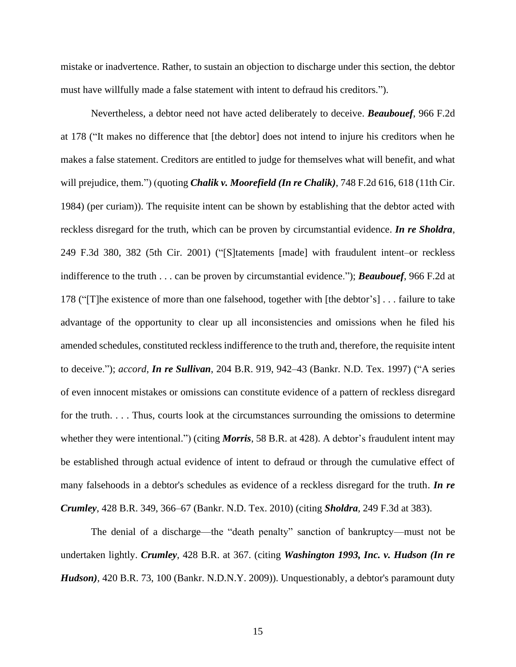mistake or inadvertence. Rather, to sustain an objection to discharge under this section, the debtor must have willfully made a false statement with intent to defraud his creditors.").

Nevertheless, a debtor need not have acted deliberately to deceive. *Beaubouef*, 966 F.2d at 178 ("It makes no difference that [the debtor] does not intend to injure his creditors when he makes a false statement. Creditors are entitled to judge for themselves what will benefit, and what will prejudice, them.") (quoting *Chalik v. Moorefield (In re Chalik)*, 748 F.2d 616, 618 (11th Cir. 1984) (per curiam)). The requisite intent can be shown by establishing that the debtor acted with reckless disregard for the truth, which can be proven by circumstantial evidence. *In re Sholdra*, 249 F.3d 380, 382 (5th Cir. 2001) ("[S]tatements [made] with fraudulent intent–or reckless indifference to the truth . . . can be proven by circumstantial evidence."); *Beaubouef*, 966 F.2d at 178 ("[T]he existence of more than one falsehood, together with [the debtor's] . . . failure to take advantage of the opportunity to clear up all inconsistencies and omissions when he filed his amended schedules, constituted reckless indifference to the truth and, therefore, the requisite intent to deceive."); *accord, In re Sullivan*, 204 B.R. 919, 942–43 (Bankr. N.D. Tex. 1997) ("A series of even innocent mistakes or omissions can constitute evidence of a pattern of reckless disregard for the truth. . . . Thus, courts look at the circumstances surrounding the omissions to determine whether they were intentional.") (citing *Morris*, 58 B.R. at 428). A debtor's fraudulent intent may be established through actual evidence of intent to defraud or through the cumulative effect of many falsehoods in a debtor's schedules as evidence of a reckless disregard for the truth. *In re Crumley*, 428 B.R. 349, 366–67 (Bankr. N.D. Tex. 2010) (citing *Sholdra,* 249 F.3d at 383).

The denial of a discharge—the "death penalty" sanction of bankruptcy—must not be undertaken lightly. *Crumley*, 428 B.R. at 367. (citing *Washington 1993, Inc. v. Hudson (In re Hudson),* 420 B.R. 73, 100 (Bankr. N.D.N.Y. 2009)). Unquestionably, a debtor's paramount duty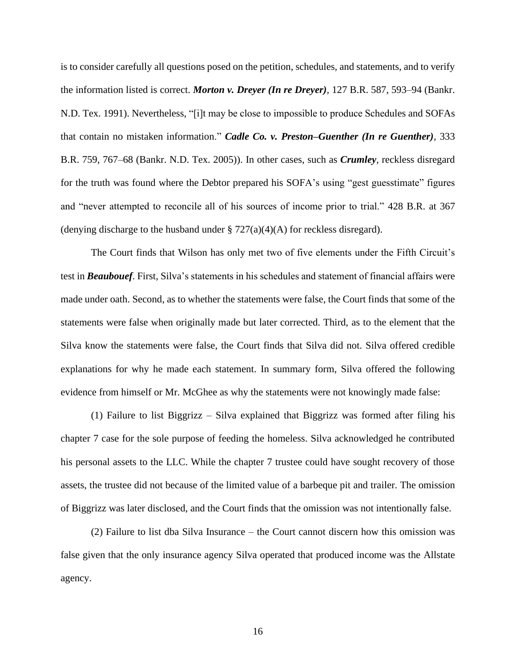is to consider carefully all questions posed on the petition, schedules, and statements, and to verify the information listed is correct. *Morton v. Dreyer (In re Dreyer),* 127 B.R. 587, 593–94 (Bankr. N.D. Tex. 1991). Nevertheless, "[i]t may be close to impossible to produce Schedules and SOFAs that contain no mistaken information." *Cadle Co. v. Preston–Guenther (In re Guenther),* 333 B.R. 759, 767–68 (Bankr. N.D. Tex. 2005)). In other cases, such as *Crumley*, reckless disregard for the truth was found where the Debtor prepared his SOFA's using "gest guesstimate" figures and "never attempted to reconcile all of his sources of income prior to trial." 428 B.R. at 367 (denying discharge to the husband under  $\S 727(a)(4)(A)$  for reckless disregard).

The Court finds that Wilson has only met two of five elements under the Fifth Circuit's test in *Beaubouef*. First, Silva's statements in his schedules and statement of financial affairs were made under oath. Second, as to whether the statements were false, the Court finds that some of the statements were false when originally made but later corrected. Third, as to the element that the Silva know the statements were false, the Court finds that Silva did not. Silva offered credible explanations for why he made each statement. In summary form, Silva offered the following evidence from himself or Mr. McGhee as why the statements were not knowingly made false:

(1) Failure to list Biggrizz – Silva explained that Biggrizz was formed after filing his chapter 7 case for the sole purpose of feeding the homeless. Silva acknowledged he contributed his personal assets to the LLC. While the chapter 7 trustee could have sought recovery of those assets, the trustee did not because of the limited value of a barbeque pit and trailer. The omission of Biggrizz was later disclosed, and the Court finds that the omission was not intentionally false.

(2) Failure to list dba Silva Insurance – the Court cannot discern how this omission was false given that the only insurance agency Silva operated that produced income was the Allstate agency.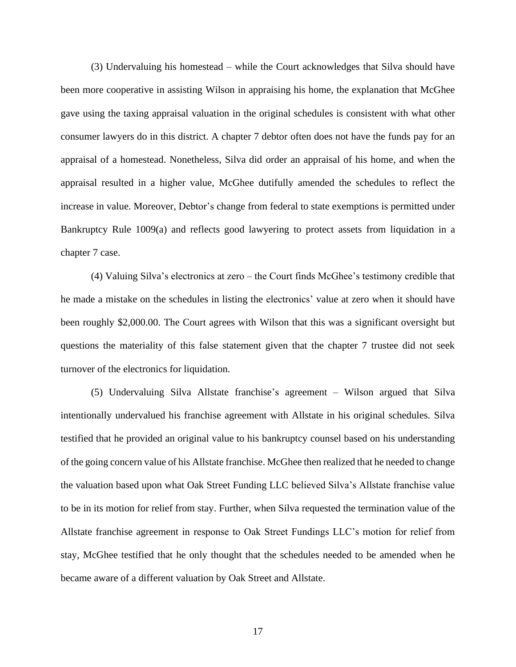(3) Undervaluing his homestead – while the Court acknowledges that Silva should have been more cooperative in assisting Wilson in appraising his home, the explanation that McGhee gave using the taxing appraisal valuation in the original schedules is consistent with what other consumer lawyers do in this district. A chapter 7 debtor often does not have the funds pay for an appraisal of a homestead. Nonetheless, Silva did order an appraisal of his home, and when the appraisal resulted in a higher value, McGhee dutifully amended the schedules to reflect the increase in value. Moreover, Debtor's change from federal to state exemptions is permitted under Bankruptcy Rule 1009(a) and reflects good lawyering to protect assets from liquidation in a chapter 7 case.

(4) Valuing Silva's electronics at zero – the Court finds McGhee's testimony credible that he made a mistake on the schedules in listing the electronics' value at zero when it should have been roughly \$2,000.00. The Court agrees with Wilson that this was a significant oversight but questions the materiality of this false statement given that the chapter 7 trustee did not seek turnover of the electronics for liquidation.

(5) Undervaluing Silva Allstate franchise's agreement – Wilson argued that Silva intentionally undervalued his franchise agreement with Allstate in his original schedules. Silva testified that he provided an original value to his bankruptcy counsel based on his understanding of the going concern value of his Allstate franchise. McGhee then realized that he needed to change the valuation based upon what Oak Street Funding LLC believed Silva's Allstate franchise value to be in its motion for relief from stay. Further, when Silva requested the termination value of the Allstate franchise agreement in response to Oak Street Fundings LLC's motion for relief from stay, McGhee testified that he only thought that the schedules needed to be amended when he became aware of a different valuation by Oak Street and Allstate.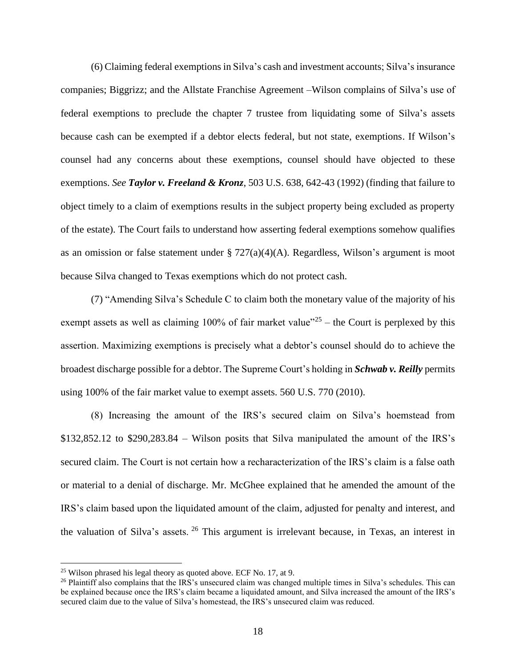(6) Claiming federal exemptions in Silva's cash and investment accounts; Silva's insurance companies; Biggrizz; and the Allstate Franchise Agreement –Wilson complains of Silva's use of federal exemptions to preclude the chapter 7 trustee from liquidating some of Silva's assets because cash can be exempted if a debtor elects federal, but not state, exemptions. If Wilson's counsel had any concerns about these exemptions, counsel should have objected to these exemptions. *See Taylor v. Freeland & Kronz*, 503 U.S. 638, 642-43 (1992) (finding that failure to object timely to a claim of exemptions results in the subject property being excluded as property of the estate). The Court fails to understand how asserting federal exemptions somehow qualifies as an omission or false statement under § 727(a)(4)(A). Regardless, Wilson's argument is moot because Silva changed to Texas exemptions which do not protect cash.

(7) "Amending Silva's Schedule C to claim both the monetary value of the majority of his exempt assets as well as claiming 100% of fair market value<sup> $25$ </sup> – the Court is perplexed by this assertion. Maximizing exemptions is precisely what a debtor's counsel should do to achieve the broadest discharge possible for a debtor. The Supreme Court's holding in *Schwab v. Reilly* permits using 100% of the fair market value to exempt assets. 560 U.S. 770 (2010).

(8) Increasing the amount of the IRS's secured claim on Silva's hoemstead from \$132,852.12 to \$290,283.84 – Wilson posits that Silva manipulated the amount of the IRS's secured claim. The Court is not certain how a recharacterization of the IRS's claim is a false oath or material to a denial of discharge. Mr. McGhee explained that he amended the amount of the IRS's claim based upon the liquidated amount of the claim, adjusted for penalty and interest, and the valuation of Silva's assets. <sup>26</sup> This argument is irrelevant because, in Texas, an interest in

 $25$  Wilson phrased his legal theory as quoted above. ECF No. 17, at 9.

<sup>&</sup>lt;sup>26</sup> Plaintiff also complains that the IRS's unsecured claim was changed multiple times in Silva's schedules. This can be explained because once the IRS's claim became a liquidated amount, and Silva increased the amount of the IRS's secured claim due to the value of Silva's homestead, the IRS's unsecured claim was reduced.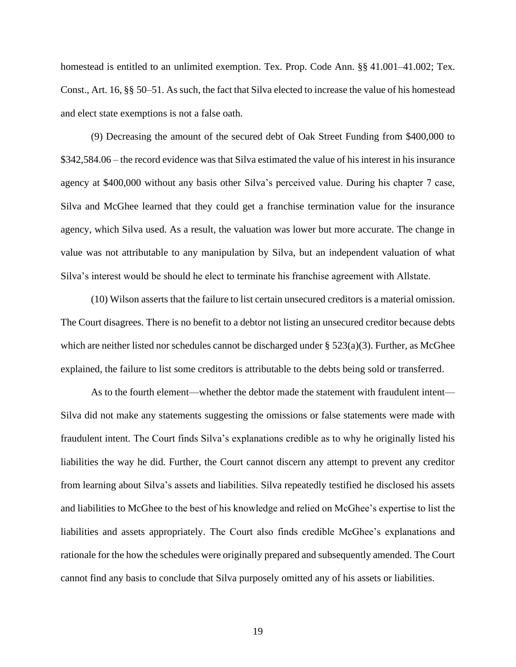homestead is entitled to an unlimited exemption. Tex. Prop. Code Ann. §§ 41.001–41.002; Tex. Const., Art. 16, §§ 50–51. As such, the fact that Silva elected to increase the value of his homestead and elect state exemptions is not a false oath.

(9) Decreasing the amount of the secured debt of Oak Street Funding from \$400,000 to \$342,584.06 – the record evidence was that Silva estimated the value of his interest in his insurance agency at \$400,000 without any basis other Silva's perceived value. During his chapter 7 case, Silva and McGhee learned that they could get a franchise termination value for the insurance agency, which Silva used. As a result, the valuation was lower but more accurate. The change in value was not attributable to any manipulation by Silva, but an independent valuation of what Silva's interest would be should he elect to terminate his franchise agreement with Allstate.

(10) Wilson asserts that the failure to list certain unsecured creditors is a material omission. The Court disagrees. There is no benefit to a debtor not listing an unsecured creditor because debts which are neither listed nor schedules cannot be discharged under  $\S$  523(a)(3). Further, as McGhee explained, the failure to list some creditors is attributable to the debts being sold or transferred.

As to the fourth element—whether the debtor made the statement with fraudulent intent— Silva did not make any statements suggesting the omissions or false statements were made with fraudulent intent. The Court finds Silva's explanations credible as to why he originally listed his liabilities the way he did. Further, the Court cannot discern any attempt to prevent any creditor from learning about Silva's assets and liabilities. Silva repeatedly testified he disclosed his assets and liabilities to McGhee to the best of his knowledge and relied on McGhee's expertise to list the liabilities and assets appropriately. The Court also finds credible McGhee's explanations and rationale for the how the schedules were originally prepared and subsequently amended. The Court cannot find any basis to conclude that Silva purposely omitted any of his assets or liabilities.